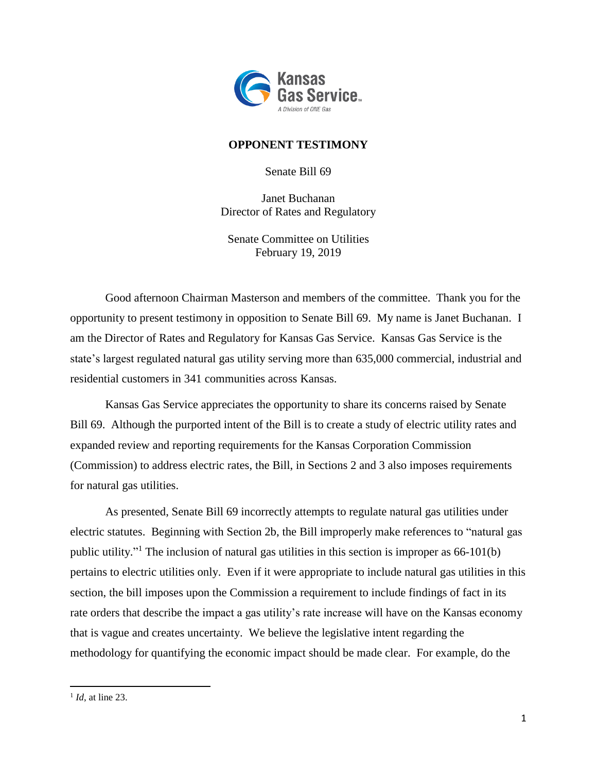

## **OPPONENT TESTIMONY**

Senate Bill 69

Janet Buchanan Director of Rates and Regulatory

Senate Committee on Utilities February 19, 2019

Good afternoon Chairman Masterson and members of the committee. Thank you for the opportunity to present testimony in opposition to Senate Bill 69. My name is Janet Buchanan. I am the Director of Rates and Regulatory for Kansas Gas Service. Kansas Gas Service is the state's largest regulated natural gas utility serving more than 635,000 commercial, industrial and residential customers in 341 communities across Kansas.

Kansas Gas Service appreciates the opportunity to share its concerns raised by Senate Bill 69. Although the purported intent of the Bill is to create a study of electric utility rates and expanded review and reporting requirements for the Kansas Corporation Commission (Commission) to address electric rates, the Bill, in Sections 2 and 3 also imposes requirements for natural gas utilities.

As presented, Senate Bill 69 incorrectly attempts to regulate natural gas utilities under electric statutes. Beginning with Section 2b, the Bill improperly make references to "natural gas public utility."<sup>1</sup> The inclusion of natural gas utilities in this section is improper as 66-101(b) pertains to electric utilities only. Even if it were appropriate to include natural gas utilities in this section, the bill imposes upon the Commission a requirement to include findings of fact in its rate orders that describe the impact a gas utility's rate increase will have on the Kansas economy that is vague and creates uncertainty. We believe the legislative intent regarding the methodology for quantifying the economic impact should be made clear. For example, do the

 $\overline{\phantom{a}}$ 

<sup>&</sup>lt;sup>1</sup> *Id*, at line 23.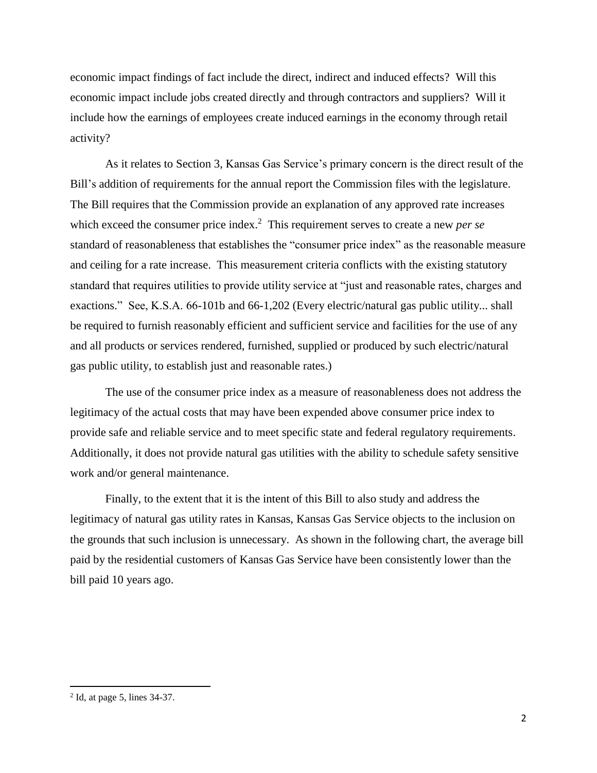economic impact findings of fact include the direct, indirect and induced effects? Will this economic impact include jobs created directly and through contractors and suppliers? Will it include how the earnings of employees create induced earnings in the economy through retail activity?

As it relates to Section 3, Kansas Gas Service's primary concern is the direct result of the Bill's addition of requirements for the annual report the Commission files with the legislature. The Bill requires that the Commission provide an explanation of any approved rate increases which exceed the consumer price index.<sup>2</sup> This requirement serves to create a new *per se* standard of reasonableness that establishes the "consumer price index" as the reasonable measure and ceiling for a rate increase. This measurement criteria conflicts with the existing statutory standard that requires utilities to provide utility service at "just and reasonable rates, charges and exactions." See, K.S.A. 66-101b and 66-1,202 (Every electric/natural gas public utility... shall be required to furnish reasonably efficient and sufficient service and facilities for the use of any and all products or services rendered, furnished, supplied or produced by such electric/natural gas public utility, to establish just and reasonable rates.)

The use of the consumer price index as a measure of reasonableness does not address the legitimacy of the actual costs that may have been expended above consumer price index to provide safe and reliable service and to meet specific state and federal regulatory requirements. Additionally, it does not provide natural gas utilities with the ability to schedule safety sensitive work and/or general maintenance.

Finally, to the extent that it is the intent of this Bill to also study and address the legitimacy of natural gas utility rates in Kansas, Kansas Gas Service objects to the inclusion on the grounds that such inclusion is unnecessary. As shown in the following chart, the average bill paid by the residential customers of Kansas Gas Service have been consistently lower than the bill paid 10 years ago.

 $\overline{\phantom{a}}$ 

 $<sup>2</sup>$  Id, at page 5, lines 34-37.</sup>